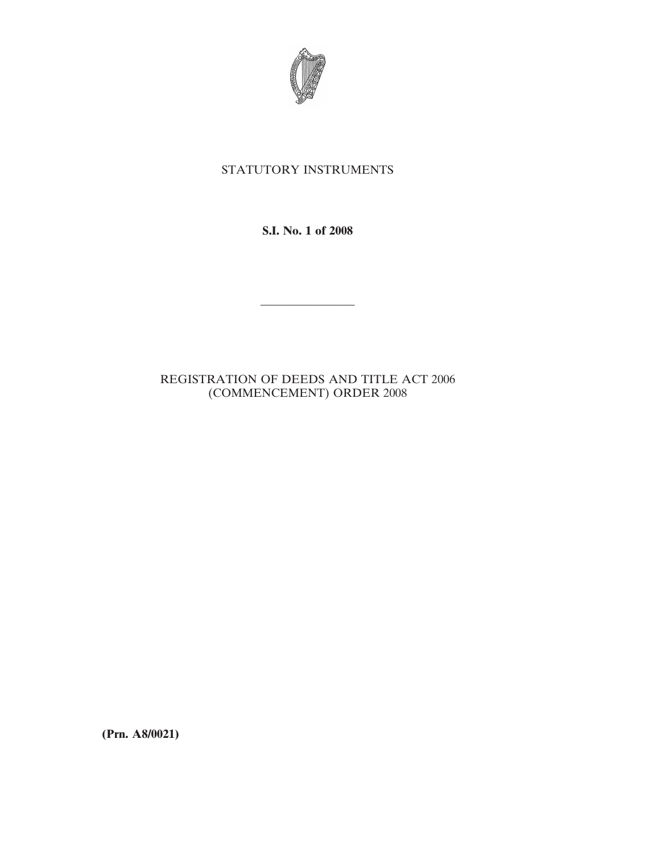

## STATUTORY INSTRUMENTS

**S.I. No. 1 of 2008**

————————

## REGISTRATION OF DEEDS AND TITLE ACT 2006 (COMMENCEMENT) ORDER 2008

**(Prn. A8/0021)**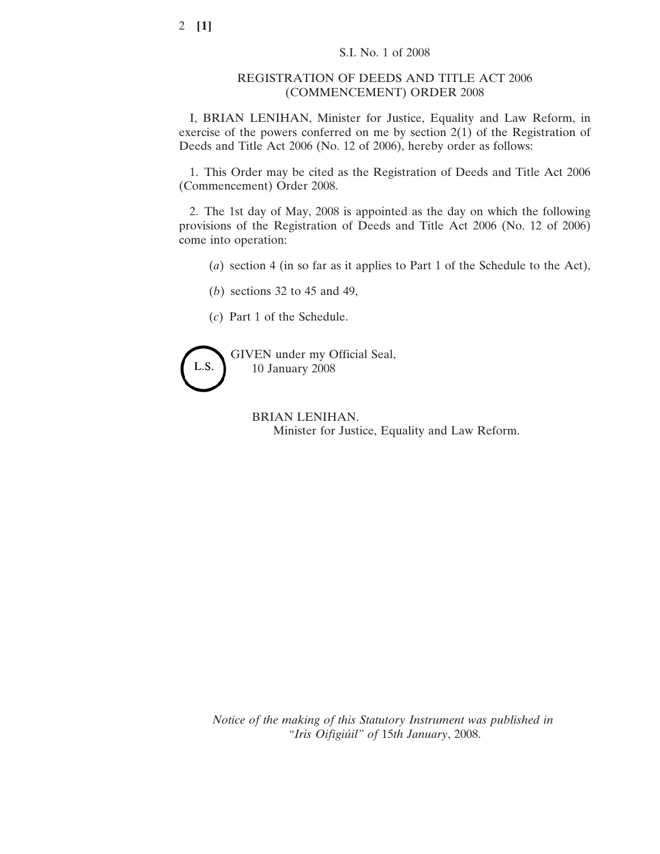## REGISTRATION OF DEEDS AND TITLE ACT 2006 (COMMENCEMENT) ORDER 2008

I, BRIAN LENIHAN, Minister for Justice, Equality and Law Reform, in exercise of the powers conferred on me by section 2(1) of the Registration of Deeds and Title Act 2006 (No. 12 of 2006), hereby order as follows:

1. This Order may be cited as the Registration of Deeds and Title Act 2006 (Commencement) Order 2008.

2. The 1st day of May, 2008 is appointed as the day on which the following provisions of the Registration of Deeds and Title Act 2006 (No. 12 of 2006) come into operation:

- (*a*) section 4 (in so far as it applies to Part 1 of the Schedule to the Act),
- (*b*) sections 32 to 45 and 49,
- (*c*) Part 1 of the Schedule.



GIVEN under my Official Seal, 10 January 2008

> BRIAN LENIHAN. Minister for Justice, Equality and Law Reform.

*Notice of the making of this Statutory Instrument was published in "Iris Oifigiu´il" of* 15*th January*, 2008.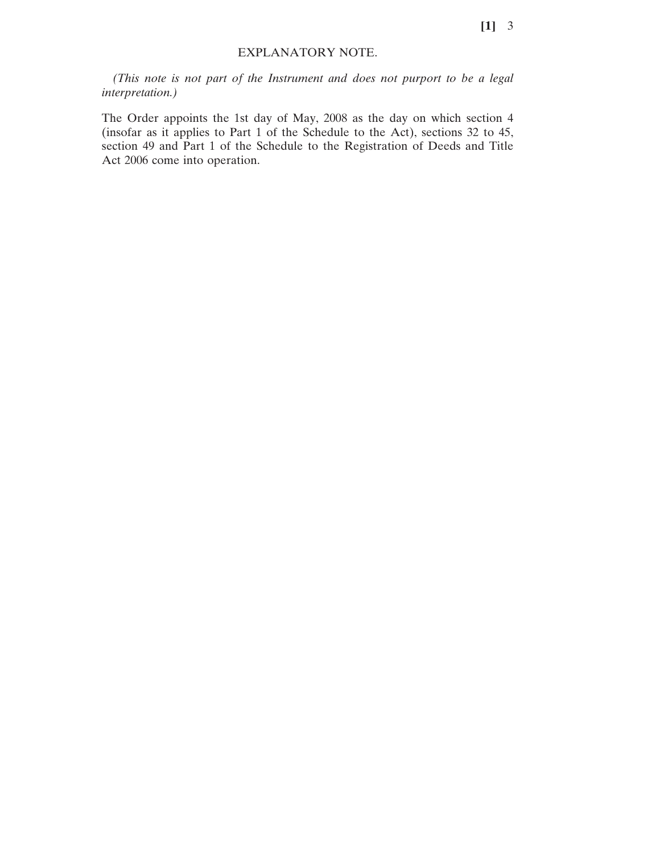## EXPLANATORY NOTE.

*(This note is not part of the Instrument and does not purport to be a legal interpretation.)*

The Order appoints the 1st day of May, 2008 as the day on which section 4 (insofar as it applies to Part 1 of the Schedule to the Act), sections 32 to 45, section 49 and Part 1 of the Schedule to the Registration of Deeds and Title Act 2006 come into operation.